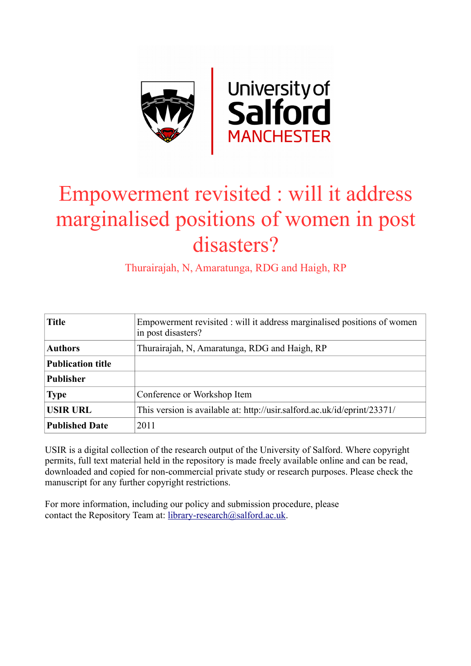

# Empowerment revisited : will it address marginalised positions of women in post disasters?

Thurairajah, N, Amaratunga, RDG and Haigh, RP

| <b>Title</b>             | Empowerment revisited : will it address marginalised positions of women<br>in post disasters? |
|--------------------------|-----------------------------------------------------------------------------------------------|
| <b>Authors</b>           | Thurairajah, N, Amaratunga, RDG and Haigh, RP                                                 |
| <b>Publication title</b> |                                                                                               |
| <b>Publisher</b>         |                                                                                               |
| <b>Type</b>              | Conference or Workshop Item                                                                   |
| <b>USIR URL</b>          | This version is available at: http://usir.salford.ac.uk/id/eprint/23371/                      |
| <b>Published Date</b>    | 2011                                                                                          |

USIR is a digital collection of the research output of the University of Salford. Where copyright permits, full text material held in the repository is made freely available online and can be read, downloaded and copied for non-commercial private study or research purposes. Please check the manuscript for any further copyright restrictions.

For more information, including our policy and submission procedure, please contact the Repository Team at: [library-research@salford.ac.uk.](mailto:library-research@salford.ac.uk)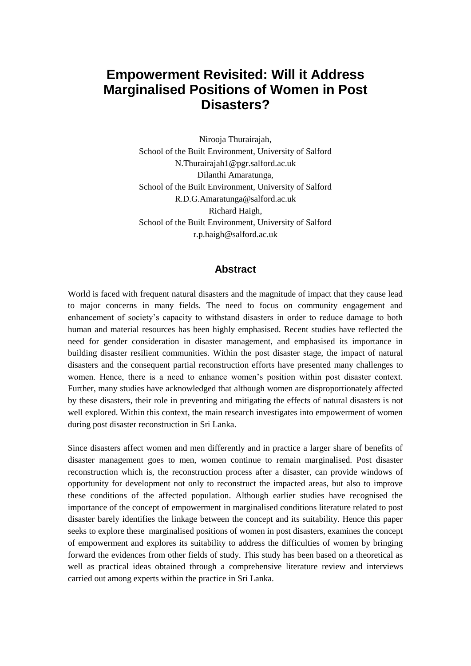## **Empowerment Revisited: Will it Address Marginalised Positions of Women in Post Disasters?**

Nirooja Thurairajah, School of the Built Environment, University of Salford N.Thurairajah1@pgr.salford.ac.uk Dilanthi Amaratunga, School of the Built Environment, University of Salford [R.D.G.Amaratunga@salford.ac.uk](mailto:R.D.G.Amaratunga@salford.ac.uk) Richard Haigh, School of the Built Environment, University of Salford r.p.haigh@salford.ac.uk

#### **Abstract**

World is faced with frequent natural disasters and the magnitude of impact that they cause lead to major concerns in many fields. The need to focus on community engagement and enhancement of society"s capacity to withstand disasters in order to reduce damage to both human and material resources has been highly emphasised. Recent studies have reflected the need for gender consideration in disaster management, and emphasised its importance in building disaster resilient communities. Within the post disaster stage, the impact of natural disasters and the consequent partial reconstruction efforts have presented many challenges to women. Hence, there is a need to enhance women"s position within post disaster context. Further, many studies have acknowledged that although women are disproportionately affected by these disasters, their role in preventing and mitigating the effects of natural disasters is not well explored. Within this context, the main research investigates into empowerment of women during post disaster reconstruction in Sri Lanka.

Since disasters affect women and men differently and in practice a larger share of benefits of disaster management goes to men, women continue to remain marginalised. Post disaster reconstruction which is, the reconstruction process after a disaster, can provide windows of opportunity for development not only to reconstruct the impacted areas, but also to improve these conditions of the affected population. Although earlier studies have recognised the importance of the concept of empowerment in marginalised conditions literature related to post disaster barely identifies the linkage between the concept and its suitability. Hence this paper seeks to explore these marginalised positions of women in post disasters, examines the concept of empowerment and explores its suitability to address the difficulties of women by bringing forward the evidences from other fields of study. This study has been based on a theoretical as well as practical ideas obtained through a comprehensive literature review and interviews carried out among experts within the practice in Sri Lanka.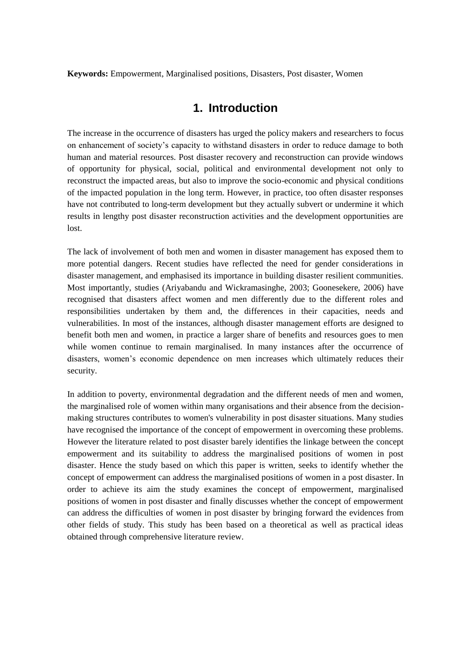**Keywords:** Empowerment, Marginalised positions, Disasters, Post disaster, Women

## **1. Introduction**

The increase in the occurrence of disasters has urged the policy makers and researchers to focus on enhancement of society"s capacity to withstand disasters in order to reduce damage to both human and material resources. Post disaster recovery and reconstruction can provide windows of opportunity for physical, social, political and environmental development not only to reconstruct the impacted areas, but also to improve the socio-economic and physical conditions of the impacted population in the long term. However, in practice, too often disaster responses have not contributed to long-term development but they actually subvert or undermine it which results in lengthy post disaster reconstruction activities and the development opportunities are lost.

The lack of involvement of both men and women in disaster management has exposed them to more potential dangers. Recent studies have reflected the need for gender considerations in disaster management, and emphasised its importance in building disaster resilient communities. Most importantly, studies (Ariyabandu and Wickramasinghe, 2003; Goonesekere, 2006) have recognised that disasters affect women and men differently due to the different roles and responsibilities undertaken by them and, the differences in their capacities, needs and vulnerabilities. In most of the instances, although disaster management efforts are designed to benefit both men and women, in practice a larger share of benefits and resources goes to men while women continue to remain marginalised. In many instances after the occurrence of disasters, women"s economic dependence on men increases which ultimately reduces their security.

In addition to poverty, environmental degradation and the different needs of men and women, the marginalised role of women within many organisations and their absence from the decisionmaking structures contributes to women's vulnerability in post disaster situations. Many studies have recognised the importance of the concept of empowerment in overcoming these problems. However the literature related to post disaster barely identifies the linkage between the concept empowerment and its suitability to address the marginalised positions of women in post disaster. Hence the study based on which this paper is written, seeks to identify whether the concept of empowerment can address the marginalised positions of women in a post disaster. In order to achieve its aim the study examines the concept of empowerment, marginalised positions of women in post disaster and finally discusses whether the concept of empowerment can address the difficulties of women in post disaster by bringing forward the evidences from other fields of study. This study has been based on a theoretical as well as practical ideas obtained through comprehensive literature review.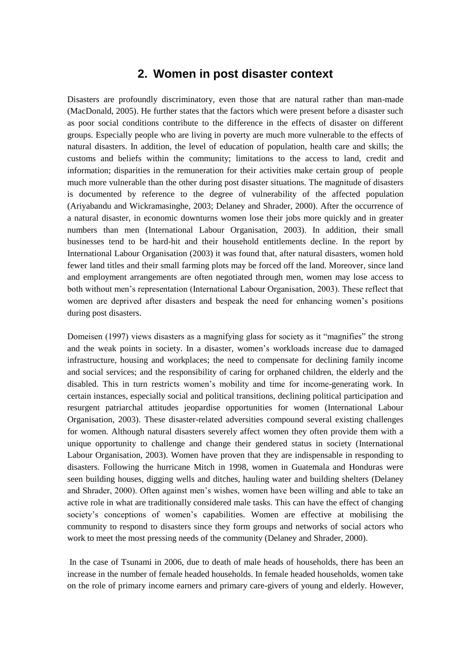## **2. Women in post disaster context**

Disasters are profoundly discriminatory, even those that are natural rather than man-made (MacDonald, 2005). He further states that the factors which were present before a disaster such as poor social conditions contribute to the difference in the effects of disaster on different groups. Especially people who are living in poverty are much more vulnerable to the effects of natural disasters. In addition, the level of education of population, health care and skills; the customs and beliefs within the community; limitations to the access to land, credit and information; disparities in the remuneration for their activities make certain group of people much more vulnerable than the other during post disaster situations. The magnitude of disasters is documented by reference to the degree of vulnerability of the affected population (Ariyabandu and Wickramasinghe, 2003; Delaney and Shrader, 2000). After the occurrence of a natural disaster, in economic downturns women lose their jobs more quickly and in greater numbers than men (International Labour Organisation, 2003). In addition, their small businesses tend to be hard-hit and their household entitlements decline. In the report by International Labour Organisation (2003) it was found that, after natural disasters, women hold fewer land titles and their small farming plots may be forced off the land. Moreover, since land and employment arrangements are often negotiated through men, women may lose access to both without men"s representation (International Labour Organisation, 2003). These reflect that women are deprived after disasters and bespeak the need for enhancing women"s positions during post disasters.

Domeisen (1997) views disasters as a magnifying glass for society as it "magnifies" the strong and the weak points in society. In a disaster, women"s workloads increase due to damaged infrastructure, housing and workplaces; the need to compensate for declining family income and social services; and the responsibility of caring for orphaned children, the elderly and the disabled. This in turn restricts women"s mobility and time for income-generating work. In certain instances, especially social and political transitions, declining political participation and resurgent patriarchal attitudes jeopardise opportunities for women (International Labour Organisation, 2003). These disaster-related adversities compound several existing challenges for women. Although natural disasters severely affect women they often provide them with a unique opportunity to challenge and change their gendered status in society (International Labour Organisation, 2003). Women have proven that they are indispensable in responding to disasters. Following the hurricane Mitch in 1998, women in Guatemala and Honduras were seen building houses, digging wells and ditches, hauling water and building shelters (Delaney and Shrader, 2000). Often against men"s wishes, women have been willing and able to take an active role in what are traditionally considered male tasks. This can have the effect of changing society's conceptions of women's capabilities. Women are effective at mobilising the community to respond to disasters since they form groups and networks of social actors who work to meet the most pressing needs of the community (Delaney and Shrader, 2000).

In the case of Tsunami in 2006, due to death of male heads of households, there has been an increase in the number of female headed households. In female headed households, women take on the role of primary income earners and primary care-givers of young and elderly. However,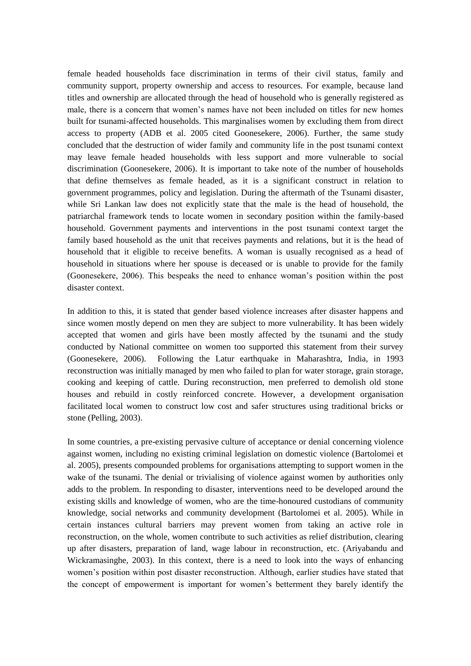female headed households face discrimination in terms of their civil status, family and community support, property ownership and access to resources. For example, because land titles and ownership are allocated through the head of household who is generally registered as male, there is a concern that women"s names have not been included on titles for new homes built for tsunami-affected households. This marginalises women by excluding them from direct access to property (ADB et al. 2005 cited Goonesekere, 2006). Further, the same study concluded that the destruction of wider family and community life in the post tsunami context may leave female headed households with less support and more vulnerable to social discrimination (Goonesekere, 2006). It is important to take note of the number of households that define themselves as female headed, as it is a significant construct in relation to government programmes, policy and legislation. During the aftermath of the Tsunami disaster, while Sri Lankan law does not explicitly state that the male is the head of household, the patriarchal framework tends to locate women in secondary position within the family-based household. Government payments and interventions in the post tsunami context target the family based household as the unit that receives payments and relations, but it is the head of household that it eligible to receive benefits. A woman is usually recognised as a head of household in situations where her spouse is deceased or is unable to provide for the family (Goonesekere, 2006). This bespeaks the need to enhance woman"s position within the post disaster context.

In addition to this, it is stated that gender based violence increases after disaster happens and since women mostly depend on men they are subject to more vulnerability. It has been widely accepted that women and girls have been mostly affected by the tsunami and the study conducted by National committee on women too supported this statement from their survey (Goonesekere, 2006). Following the Latur earthquake in Maharashtra, India, in 1993 reconstruction was initially managed by men who failed to plan for water storage, grain storage, cooking and keeping of cattle. During reconstruction, men preferred to demolish old stone houses and rebuild in costly reinforced concrete. However, a development organisation facilitated local women to construct low cost and safer structures using traditional bricks or stone (Pelling, 2003).

In some countries, a pre-existing pervasive culture of acceptance or denial concerning violence against women, including no existing criminal legislation on domestic violence (Bartolomei et al. 2005), presents compounded problems for organisations attempting to support women in the wake of the tsunami. The denial or trivialising of violence against women by authorities only adds to the problem. In responding to disaster, interventions need to be developed around the existing skills and knowledge of women, who are the time-honoured custodians of community knowledge, social networks and community development (Bartolomei et al. 2005). While in certain instances cultural barriers may prevent women from taking an active role in reconstruction, on the whole, women contribute to such activities as relief distribution, clearing up after disasters, preparation of land, wage labour in reconstruction, etc. (Ariyabandu and Wickramasinghe, 2003). In this context, there is a need to look into the ways of enhancing women"s position within post disaster reconstruction. Although, earlier studies have stated that the concept of empowerment is important for women"s betterment they barely identify the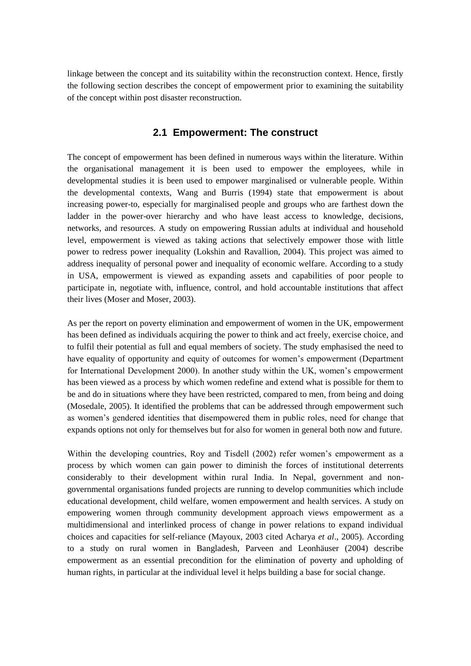linkage between the concept and its suitability within the reconstruction context. Hence, firstly the following section describes the concept of empowerment prior to examining the suitability of the concept within post disaster reconstruction.

#### **2.1 Empowerment: The construct**

The concept of empowerment has been defined in numerous ways within the literature. Within the organisational management it is been used to empower the employees, while in developmental studies it is been used to empower marginalised or vulnerable people. Within the developmental contexts, Wang and Burris (1994) state that empowerment is about increasing power-to, especially for marginalised people and groups who are farthest down the ladder in the power-over hierarchy and who have least access to knowledge, decisions, networks, and resources. A study on empowering Russian adults at individual and household level, empowerment is viewed as taking actions that selectively empower those with little power to redress power inequality (Lokshin and Ravallion, 2004). This project was aimed to address inequality of personal power and inequality of economic welfare. According to a study in USA, empowerment is viewed as expanding assets and capabilities of poor people to participate in, negotiate with, influence, control, and hold accountable institutions that affect their lives (Moser and Moser, 2003).

As per the report on poverty elimination and empowerment of women in the UK, empowerment has been defined as individuals acquiring the power to think and act freely, exercise choice, and to fulfil their potential as full and equal members of society. The study emphasised the need to have equality of opportunity and equity of outcomes for women"s empowerment (Department for International Development 2000). In another study within the UK, women"s empowerment has been viewed as a process by which women redefine and extend what is possible for them to be and do in situations where they have been restricted, compared to men, from being and doing (Mosedale, 2005). It identified the problems that can be addressed through empowerment such as women"s gendered identities that disempowered them in public roles, need for change that expands options not only for themselves but for also for women in general both now and future.

Within the developing countries, Roy and Tisdell (2002) refer women's empowerment as a process by which women can gain power to diminish the forces of institutional deterrents considerably to their development within rural India. In Nepal, government and nongovernmental organisations funded projects are running to develop communities which include educational development, child welfare, women empowerment and health services. A study on empowering women through community development approach views empowerment as a multidimensional and interlinked process of change in power relations to expand individual choices and capacities for self-reliance (Mayoux, 2003 cited Acharya *et al*., 2005). According to a study on rural women in Bangladesh, Parveen and Leonhäuser (2004) describe empowerment as an essential precondition for the elimination of poverty and upholding of human rights, in particular at the individual level it helps building a base for social change.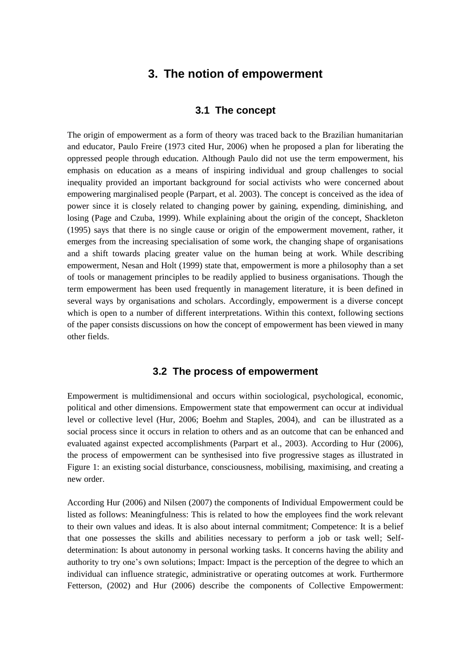## **3. The notion of empowerment**

#### **3.1 The concept**

The origin of empowerment as a form of theory was traced back to the Brazilian humanitarian and educator, Paulo Freire (1973 cited Hur, 2006) when he proposed a plan for liberating the oppressed people through education. Although Paulo did not use the term empowerment, his emphasis on education as a means of inspiring individual and group challenges to social inequality provided an important background for social activists who were concerned about empowering marginalised people (Parpart, et al. 2003). The concept is conceived as the idea of power since it is closely related to changing power by gaining, expending, diminishing, and losing (Page and Czuba, 1999). While explaining about the origin of the concept, Shackleton (1995) says that there is no single cause or origin of the empowerment movement, rather, it emerges from the increasing specialisation of some work, the changing shape of organisations and a shift towards placing greater value on the human being at work. While describing empowerment, Nesan and Holt (1999) state that, empowerment is more a philosophy than a set of tools or management principles to be readily applied to business organisations. Though the term empowerment has been used frequently in management literature, it is been defined in several ways by organisations and scholars. Accordingly, empowerment is a diverse concept which is open to a number of different interpretations. Within this context, following sections of the paper consists discussions on how the concept of empowerment has been viewed in many other fields.

#### **3.2 The process of empowerment**

Empowerment is multidimensional and occurs within sociological, psychological, economic, political and other dimensions. Empowerment state that empowerment can occur at individual level or collective level (Hur, 2006; Boehm and Staples, 2004), and can be illustrated as a social process since it occurs in relation to others and as an outcome that can be enhanced and evaluated against expected accomplishments (Parpart et al., 2003). According to Hur (2006), the process of empowerment can be synthesised into five progressive stages as illustrated in Figure 1: an existing social disturbance, consciousness, mobilising, maximising, and creating a new order.

According Hur (2006) and Nilsen (2007) the components of Individual Empowerment could be listed as follows: Meaningfulness: This is related to how the employees find the work relevant to their own values and ideas. It is also about internal commitment; Competence: It is a belief that one possesses the skills and abilities necessary to perform a job or task well; Selfdetermination: Is about autonomy in personal working tasks. It concerns having the ability and authority to try one's own solutions; Impact: Impact is the perception of the degree to which an individual can influence strategic, administrative or operating outcomes at work. Furthermore Fetterson, (2002) and Hur (2006) describe the components of Collective Empowerment: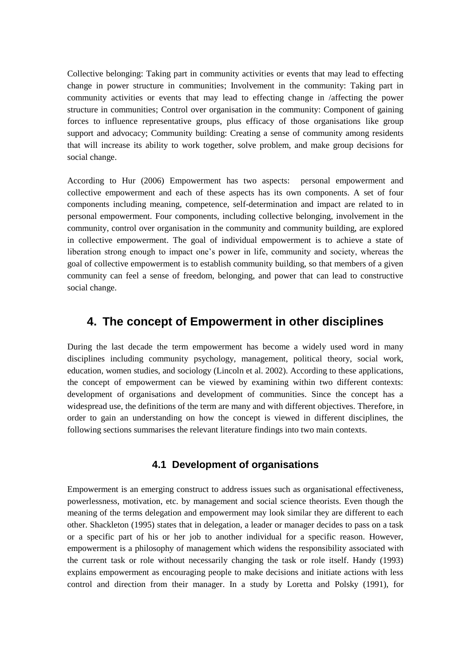Collective belonging: Taking part in community activities or events that may lead to effecting change in power structure in communities; Involvement in the community: Taking part in community activities or events that may lead to effecting change in /affecting the power structure in communities; Control over organisation in the community: Component of gaining forces to influence representative groups, plus efficacy of those organisations like group support and advocacy; Community building: Creating a sense of community among residents that will increase its ability to work together, solve problem, and make group decisions for social change.

According to Hur (2006) Empowerment has two aspects: personal empowerment and collective empowerment and each of these aspects has its own components. A set of four components including meaning, competence, self-determination and impact are related to in personal empowerment. Four components, including collective belonging, involvement in the community, control over organisation in the community and community building, are explored in collective empowerment. The goal of individual empowerment is to achieve a state of liberation strong enough to impact one's power in life, community and society, whereas the goal of collective empowerment is to establish community building, so that members of a given community can feel a sense of freedom, belonging, and power that can lead to constructive social change.

## **4. The concept of Empowerment in other disciplines**

During the last decade the term empowerment has become a widely used word in many disciplines including community psychology, management, political theory, social work, education, women studies, and sociology (Lincoln et al. 2002). According to these applications, the concept of empowerment can be viewed by examining within two different contexts: development of organisations and development of communities. Since the concept has a widespread use, the definitions of the term are many and with different objectives. Therefore, in order to gain an understanding on how the concept is viewed in different disciplines, the following sections summarises the relevant literature findings into two main contexts.

#### **4.1 Development of organisations**

Empowerment is an emerging construct to address issues such as organisational effectiveness, powerlessness, motivation, etc. by management and social science theorists. Even though the meaning of the terms delegation and empowerment may look similar they are different to each other. Shackleton (1995) states that in delegation, a leader or manager decides to pass on a task or a specific part of his or her job to another individual for a specific reason. However, empowerment is a philosophy of management which widens the responsibility associated with the current task or role without necessarily changing the task or role itself. Handy (1993) explains empowerment as encouraging people to make decisions and initiate actions with less control and direction from their manager. In a study by Loretta and Polsky (1991), for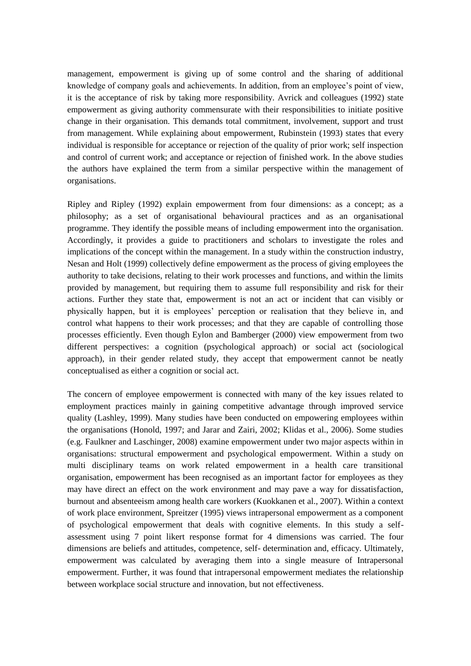management, empowerment is giving up of some control and the sharing of additional knowledge of company goals and achievements. In addition, from an employee"s point of view, it is the acceptance of risk by taking more responsibility. Avrick and colleagues (1992) state empowerment as giving authority commensurate with their responsibilities to initiate positive change in their organisation. This demands total commitment, involvement, support and trust from management. While explaining about empowerment, Rubinstein (1993) states that every individual is responsible for acceptance or rejection of the quality of prior work; self inspection and control of current work; and acceptance or rejection of finished work. In the above studies the authors have explained the term from a similar perspective within the management of organisations.

Ripley and Ripley (1992) explain empowerment from four dimensions: as a concept; as a philosophy; as a set of organisational behavioural practices and as an organisational programme. They identify the possible means of including empowerment into the organisation. Accordingly, it provides a guide to practitioners and scholars to investigate the roles and implications of the concept within the management. In a study within the construction industry, Nesan and Holt (1999) collectively define empowerment as the process of giving employees the authority to take decisions, relating to their work processes and functions, and within the limits provided by management, but requiring them to assume full responsibility and risk for their actions. Further they state that, empowerment is not an act or incident that can visibly or physically happen, but it is employees" perception or realisation that they believe in, and control what happens to their work processes; and that they are capable of controlling those processes efficiently. Even though Eylon and Bamberger (2000) view empowerment from two different perspectives: a cognition (psychological approach) or social act (sociological approach), in their gender related study, they accept that empowerment cannot be neatly conceptualised as either a cognition or social act.

The concern of employee empowerment is connected with many of the key issues related to employment practices mainly in gaining competitive advantage through improved service quality (Lashley, 1999). Many studies have been conducted on empowering employees within the organisations (Honold, 1997; and Jarar and Zairi, 2002; Klidas et al., 2006). Some studies (e.g. Faulkner and Laschinger, 2008) examine empowerment under two major aspects within in organisations: structural empowerment and psychological empowerment. Within a study on multi disciplinary teams on work related empowerment in a health care transitional organisation, empowerment has been recognised as an important factor for employees as they may have direct an effect on the work environment and may pave a way for dissatisfaction, burnout and absenteeism among health care workers (Kuokkanen et al., 2007). Within a context of work place environment, Spreitzer (1995) views intrapersonal empowerment as a component of psychological empowerment that deals with cognitive elements. In this study a selfassessment using 7 point likert response format for 4 dimensions was carried. The four dimensions are beliefs and attitudes, competence, self- determination and, efficacy. Ultimately, empowerment was calculated by averaging them into a single measure of Intrapersonal empowerment. Further, it was found that intrapersonal empowerment mediates the relationship between workplace social structure and innovation, but not effectiveness.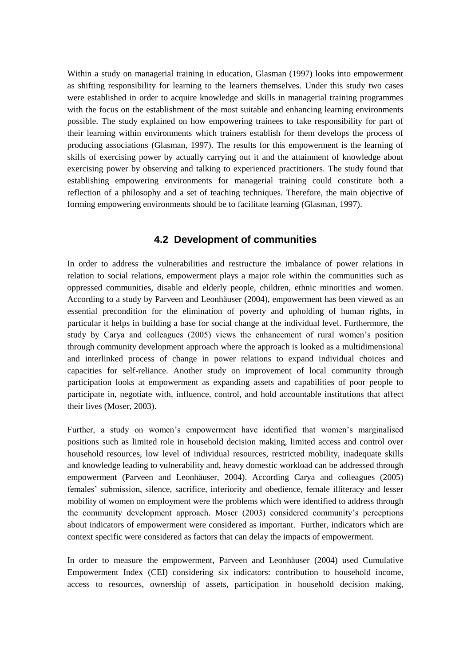Within a study on managerial training in education, Glasman (1997) looks into empowerment as shifting responsibility for learning to the learners themselves. Under this study two cases were established in order to acquire knowledge and skills in managerial training programmes with the focus on the establishment of the most suitable and enhancing learning environments possible. The study explained on how empowering trainees to take responsibility for part of their learning within environments which trainers establish for them develops the process of producing associations (Glasman, 1997). The results for this empowerment is the learning of skills of exercising power by actually carrying out it and the attainment of knowledge about exercising power by observing and talking to experienced practitioners. The study found that establishing empowering environments for managerial training could constitute both a reflection of a philosophy and a set of teaching techniques. Therefore, the main objective of forming empowering environments should be to facilitate learning (Glasman, 1997).

#### **4.2 Development of communities**

In order to address the vulnerabilities and restructure the imbalance of power relations in relation to social relations, empowerment plays a major role within the communities such as oppressed communities, disable and elderly people, children, ethnic minorities and women. According to a study by Parveen and Leonhäuser (2004), empowerment has been viewed as an essential precondition for the elimination of poverty and upholding of human rights, in particular it helps in building a base for social change at the individual level. Furthermore, the study by Carya and colleagues (2005) views the enhancement of rural women"s position through community development approach where the approach is looked as a multidimensional and interlinked process of change in power relations to expand individual choices and capacities for self-reliance. Another study on improvement of local community through participation looks at empowerment as expanding assets and capabilities of poor people to participate in, negotiate with, influence, control, and hold accountable institutions that affect their lives (Moser, 2003).

Further, a study on women"s empowerment have identified that women"s marginalised positions such as limited role in household decision making, limited access and control over household resources, low level of individual resources, restricted mobility, inadequate skills and knowledge leading to vulnerability and, heavy domestic workload can be addressed through empowerment (Parveen and Leonhäuser, 2004). According Carya and colleagues (2005) females" submission, silence, sacrifice, inferiority and obedience, female illiteracy and lesser mobility of women on employment were the problems which were identified to address through the community development approach. Moser (2003) considered community"s perceptions about indicators of empowerment were considered as important. Further, indicators which are context specific were considered as factors that can delay the impacts of empowerment.

In order to measure the empowerment, Parveen and Leonhäuser (2004) used Cumulative Empowerment Index (CEI) considering six indicators: contribution to household income, access to resources, ownership of assets, participation in household decision making,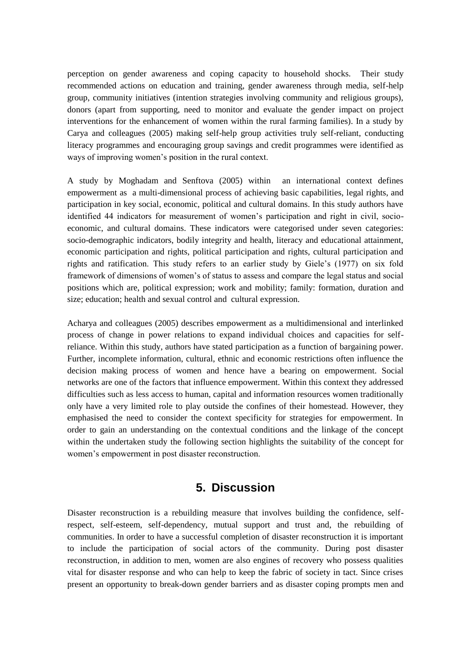perception on gender awareness and coping capacity to household shocks. Their study recommended actions on education and training, gender awareness through media, self-help group, community initiatives (intention strategies involving community and religious groups), donors (apart from supporting, need to monitor and evaluate the gender impact on project interventions for the enhancement of women within the rural farming families). In a study by Carya and colleagues (2005) making self-help group activities truly self-reliant, conducting literacy programmes and encouraging group savings and credit programmes were identified as ways of improving women's position in the rural context.

A study by Moghadam and Senftova (2005) within an international context defines empowerment as a multi-dimensional process of achieving basic capabilities, legal rights, and participation in key social, economic, political and cultural domains. In this study authors have identified 44 indicators for measurement of women"s participation and right in civil, socioeconomic, and cultural domains. These indicators were categorised under seven categories: socio-demographic indicators, bodily integrity and health, literacy and educational attainment, economic participation and rights, political participation and rights, cultural participation and rights and ratification. This study refers to an earlier study by Giele"s (1977) on six fold framework of dimensions of women"s of status to assess and compare the legal status and social positions which are, political expression; work and mobility; family: formation, duration and size; education; health and sexual control and cultural expression.

Acharya and colleagues (2005) describes empowerment as a multidimensional and interlinked process of change in power relations to expand individual choices and capacities for selfreliance. Within this study, authors have stated participation as a function of bargaining power. Further, incomplete information, cultural, ethnic and economic restrictions often influence the decision making process of women and hence have a bearing on empowerment. Social networks are one of the factors that influence empowerment. Within this context they addressed difficulties such as less access to human, capital and information resources women traditionally only have a very limited role to play outside the confines of their homestead. However, they emphasised the need to consider the context specificity for strategies for empowerment. In order to gain an understanding on the contextual conditions and the linkage of the concept within the undertaken study the following section highlights the suitability of the concept for women"s empowerment in post disaster reconstruction.

## **5. Discussion**

Disaster reconstruction is a rebuilding measure that involves building the confidence, selfrespect, self-esteem, self-dependency, mutual support and trust and, the rebuilding of communities. In order to have a successful completion of disaster reconstruction it is important to include the participation of social actors of the community. During post disaster reconstruction, in addition to men, women are also engines of recovery who possess qualities vital for disaster response and who can help to keep the fabric of society in tact. Since crises present an opportunity to break-down gender barriers and as disaster coping prompts men and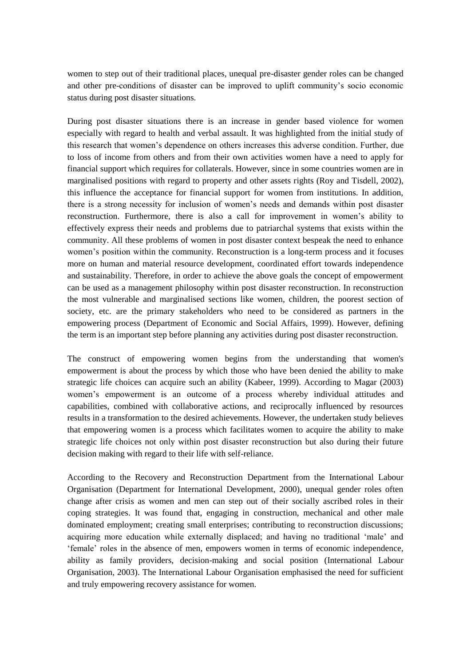women to step out of their traditional places, unequal pre-disaster gender roles can be changed and other pre-conditions of disaster can be improved to uplift community"s socio economic status during post disaster situations.

During post disaster situations there is an increase in gender based violence for women especially with regard to health and verbal assault. It was highlighted from the initial study of this research that women"s dependence on others increases this adverse condition. Further, due to loss of income from others and from their own activities women have a need to apply for financial support which requires for collaterals. However, since in some countries women are in marginalised positions with regard to property and other assets rights (Roy and Tisdell, 2002), this influence the acceptance for financial support for women from institutions. In addition, there is a strong necessity for inclusion of women"s needs and demands within post disaster reconstruction. Furthermore, there is also a call for improvement in women"s ability to effectively express their needs and problems due to patriarchal systems that exists within the community. All these problems of women in post disaster context bespeak the need to enhance women"s position within the community. Reconstruction is a long-term process and it focuses more on human and material resource development, coordinated effort towards independence and sustainability. Therefore, in order to achieve the above goals the concept of empowerment can be used as a management philosophy within post disaster reconstruction. In reconstruction the most vulnerable and marginalised sections like women, children, the poorest section of society, etc. are the primary stakeholders who need to be considered as partners in the empowering process (Department of Economic and Social Affairs, 1999). However, defining the term is an important step before planning any activities during post disaster reconstruction.

The construct of empowering women begins from the understanding that women's empowerment is about the process by which those who have been denied the ability to make strategic life choices can acquire such an ability (Kabeer, 1999). According to Magar (2003) women"s empowerment is an outcome of a process whereby individual attitudes and capabilities, combined with collaborative actions, and reciprocally influenced by resources results in a transformation to the desired achievements. However, the undertaken study believes that empowering women is a process which facilitates women to acquire the ability to make strategic life choices not only within post disaster reconstruction but also during their future decision making with regard to their life with self-reliance.

According to the Recovery and Reconstruction Department from the International Labour Organisation (Department for International Development, 2000), unequal gender roles often change after crisis as women and men can step out of their socially ascribed roles in their coping strategies. It was found that, engaging in construction, mechanical and other male dominated employment; creating small enterprises; contributing to reconstruction discussions; acquiring more education while externally displaced; and having no traditional "male" and 'female' roles in the absence of men, empowers women in terms of economic independence, ability as family providers, decision-making and social position (International Labour Organisation, 2003). The International Labour Organisation emphasised the need for sufficient and truly empowering recovery assistance for women.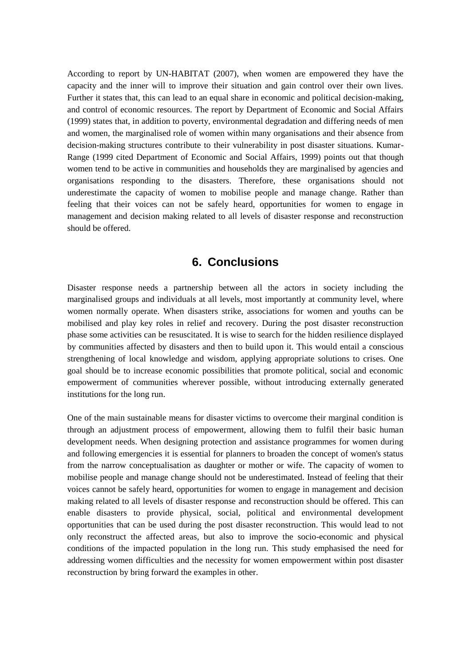According to report by UN-HABITAT (2007), when women are empowered they have the capacity and the inner will to improve their situation and gain control over their own lives. Further it states that, this can lead to an equal share in economic and political decision-making, and control of economic resources. The report by Department of Economic and Social Affairs (1999) states that, in addition to poverty, environmental degradation and differing needs of men and women, the marginalised role of women within many organisations and their absence from decision-making structures contribute to their vulnerability in post disaster situations. Kumar-Range (1999 cited Department of Economic and Social Affairs, 1999) points out that though women tend to be active in communities and households they are marginalised by agencies and organisations responding to the disasters. Therefore, these organisations should not underestimate the capacity of women to mobilise people and manage change. Rather than feeling that their voices can not be safely heard, opportunities for women to engage in management and decision making related to all levels of disaster response and reconstruction should be offered.

## **6. Conclusions**

Disaster response needs a partnership between all the actors in society including the marginalised groups and individuals at all levels, most importantly at community level, where women normally operate. When disasters strike, associations for women and youths can be mobilised and play key roles in relief and recovery. During the post disaster reconstruction phase some activities can be resuscitated. It is wise to search for the hidden resilience displayed by communities affected by disasters and then to build upon it. This would entail a conscious strengthening of local knowledge and wisdom, applying appropriate solutions to crises. One goal should be to increase economic possibilities that promote political, social and economic empowerment of communities wherever possible, without introducing externally generated institutions for the long run.

One of the main sustainable means for disaster victims to overcome their marginal condition is through an adjustment process of empowerment, allowing them to fulfil their basic human development needs. When designing protection and assistance programmes for women during and following emergencies it is essential for planners to broaden the concept of women's status from the narrow conceptualisation as daughter or mother or wife. The capacity of women to mobilise people and manage change should not be underestimated. Instead of feeling that their voices cannot be safely heard, opportunities for women to engage in management and decision making related to all levels of disaster response and reconstruction should be offered. This can enable disasters to provide physical, social, political and environmental development opportunities that can be used during the post disaster reconstruction. This would lead to not only reconstruct the affected areas, but also to improve the socio-economic and physical conditions of the impacted population in the long run. This study emphasised the need for addressing women difficulties and the necessity for women empowerment within post disaster reconstruction by bring forward the examples in other.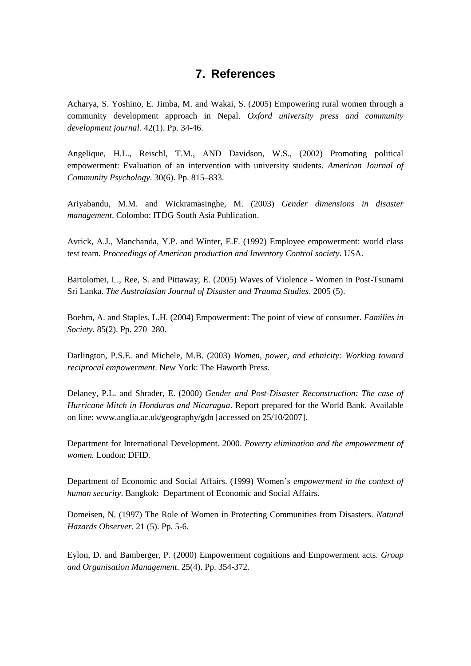## **7. References**

Acharya, S. Yoshino, E. Jimba, M. and Wakai, S. (2005) Empowering rural women through a community development approach in Nepal. *Oxford university press and community development journal.* 42(1). Pp. 34-46.

Angelique, H.L., Reischl, T.M., AND Davidson, W.S., (2002) Promoting political empowerment: Evaluation of an intervention with university students. *American Journal of Community Psychology.* 30(6). Pp. 815–833.

Ariyabandu, M.M. and Wickramasinghe, M. (2003) *Gender dimensions in disaster management*. Colombo: ITDG South Asia Publication.

Avrick, A.J., Manchanda, Y.P. and Winter, E.F. (1992) Employee empowerment: world class test team. *Proceedings of American production and Inventory Control society*. USA.

Bartolomei, L., Ree, S. and Pittaway, E. (2005) Waves of Violence - Women in Post-Tsunami Sri Lanka. *The Australasian Journal of Disaster and Trauma Studies*. 2005 (5).

Boehm, A. and Staples, L.H. (2004) Empowerment: The point of view of consumer. *Families in Society*. 85(2). Pp. 270–280.

Darlington, P.S.E. and Michele, M.B. (2003) *Women, power, and ethnicity: Working toward reciprocal empowerment*. New York: The Haworth Press.

Delaney, P.L. and Shrader, E. (2000) *Gender and Post-Disaster Reconstruction: The case of Hurricane Mitch in Honduras and Nicaragua*. Report prepared for the World Bank. Available on line: www.anglia.ac.uk/geography/gdn [accessed on 25/10/2007].

Department for International Development. 2000. *Poverty elimination and the empowerment of women.* London: DFID.

Department of Economic and Social Affairs. (1999) Women"s *empowerment in the context of human security*. Bangkok: Department of Economic and Social Affairs.

Domeisen, N. (1997) The Role of Women in Protecting Communities from Disasters. *Natural Hazards Observer*. 21 (5). Pp. 5-6.

Eylon, D. and Bamberger, P. (2000) Empowerment cognitions and Empowerment acts. *Group and Organisation Management*. 25(4). Pp. 354-372.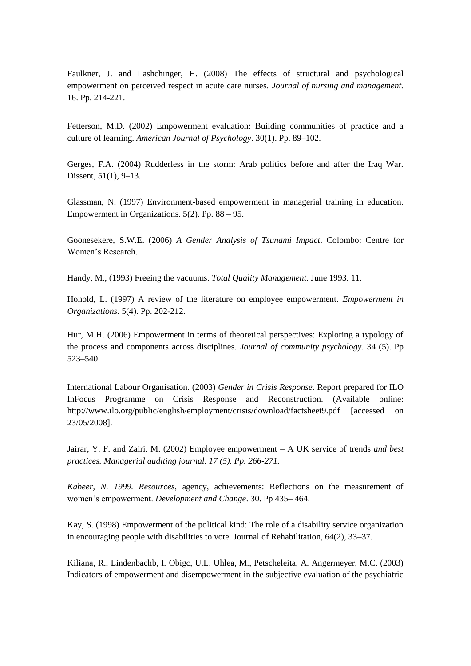Faulkner, J. and Lashchinger, H. (2008) The effects of structural and psychological empowerment on perceived respect in acute care nurses. *Journal of nursing and management.*  16. Pp. 214-221.

Fetterson, M.D. (2002) Empowerment evaluation: Building communities of practice and a culture of learning. *American Journal of Psychology*. 30(1). Pp. 89–102.

Gerges, F.A. (2004) Rudderless in the storm: Arab politics before and after the Iraq War. Dissent, 51(1), 9–13.

Glassman, N. (1997) Environment-based empowerment in managerial training in education. Empowerment in Organizations. 5(2). Pp. 88 – 95.

Goonesekere, S.W.E. (2006) *A Gender Analysis of Tsunami Impact*. Colombo: Centre for Women"s Research.

Handy, M., (1993) Freeing the vacuums. *Total Quality Management.* June 1993. 11.

Honold, L. (1997) A review of the literature on employee empowerment. *Empowerment in Organizations*. 5(4). Pp. 202-212.

Hur, M.H. (2006) Empowerment in terms of theoretical perspectives: Exploring a typology of the process and components across disciplines. *Journal of community psychology*. 34 (5). Pp 523–540.

International Labour Organisation. (2003) *Gender in Crisis Response*. Report prepared for ILO InFocus Programme on Crisis Response and Reconstruction. (Available online: http://www.ilo.org/public/english/employment/crisis/download/factsheet9.pdf [accessed on 23/05/2008].

Jairar, Y. F. and Zairi, M. (2002) Employee empowerment – A UK service of trends *and best practices. Managerial auditing journal. 17 (5). Pp. 266-271.*

*Kabeer, N. 1999. Resources*, agency, achievements: Reflections on the measurement of women"s empowerment. *Development and Change*. 30. Pp 435– 464.

Kay, S. (1998) Empowerment of the political kind: The role of a disability service organization in encouraging people with disabilities to vote. Journal of Rehabilitation, 64(2), 33–37.

Kiliana, R., Lindenbachb, I. Obigc, U.L. Uhlea, M., Petscheleita, A. Angermeyer, M.C. (2003) Indicators of empowerment and disempowerment in the subjective evaluation of the psychiatric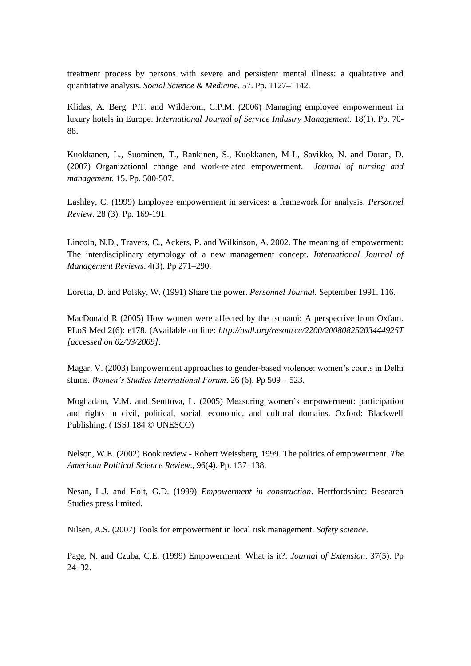treatment process by persons with severe and persistent mental illness: a qualitative and quantitative analysis. *Social Science & Medicine.* 57. Pp. 1127–1142.

Klidas, A. Berg. P.T. and Wilderom, C.P.M. (2006) Managing employee empowerment in luxury hotels in Europe. *International Journal of Service Industry Management.* 18(1). Pp. 70- 88.

Kuokkanen, L., Suominen, T., Rankinen, S., Kuokkanen, M-L, Savikko, N. and Doran, D. (2007) Organizational change and work-related empowerment. *Journal of nursing and management.* 15. Pp. 500-507.

Lashley, C. (1999) Employee empowerment in services: a framework for analysis. *Personnel Review*. 28 (3). Pp. 169-191.

Lincoln, N.D., Travers, C., Ackers, P. and Wilkinson, A. 2002. The meaning of empowerment: The interdisciplinary etymology of a new management concept. *International Journal of Management Reviews*. 4(3). Pp 271–290.

Loretta, D. and Polsky, W. (1991) Share the power. *Personnel Journal.* September 1991. 116.

MacDonald R (2005) How women were affected by the tsunami: A perspective from Oxfam. PLoS Med 2(6): e178. (Available on line: *http://nsdl.org/resource/2200/20080825203444925T [accessed on 02/03/2009].*

Magar, V. (2003) Empowerment approaches to gender-based violence: women"s courts in Delhi slums. *Women's Studies International Forum*. 26 (6). Pp 509 – 523.

Moghadam, V.M. and Senftova, L. (2005) Measuring women's empowerment: participation and rights in civil, political, social, economic, and cultural domains. Oxford: Blackwell Publishing. ( ISSJ 184 © UNESCO)

Nelson, W.E. (2002) Book review - Robert Weissberg, 1999. The politics of empowerment. *The American Political Science Review*., 96(4). Pp. 137–138.

Nesan, L.J. and Holt, G.D. (1999) *Empowerment in construction*. Hertfordshire: Research Studies press limited.

Nilsen, A.S. (2007) Tools for empowerment in local risk management. *Safety science*.

Page, N. and Czuba, C.E. (1999) Empowerment: What is it?. *Journal of Extension*. 37(5). Pp 24–32.